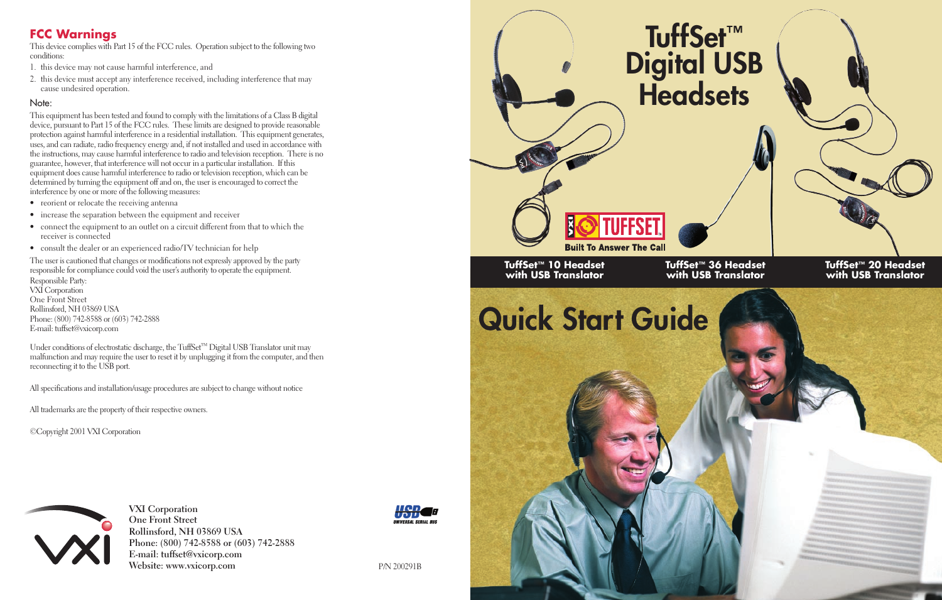### **FCC Warnings**

This device complies with Part 15 of the FCC rules. Operation subject to the following two conditions:

- 1. this device may not cause harmful interference, and
- 2. this device must accept any interference received, including interference that may cause undesired operation.

#### Note:

This equipment has been tested and found to comply with the limitations of a Class B digital device, pursuant to Part 15 of the FCC rules. These limits are designed to provide reasonable protection against harmful interference in a residential installation. This equipment generates, uses, and can radiate, radio frequency energy and, if not installed and used in accordance with the instructions, may cause harmful interference to radio and television reception. There is no guarantee, however, that interference will not occur in a particular installation. If this equipment does cause harmful interference to radio or television reception, which can be determined by turning the equipment off and on, the user is encouraged to correct the interference by one or more of the following measures:

- reorient or relocate the receiving antenna
- increase the separation between the equipment and receiver
- connect the equipment to an outlet on a circuit different from that to which the receiver is connected
- consult the dealer or an experienced radio/TV technician for help

The user is cautioned that changes or modifications not expressly approved by the party responsible for compliance could void the user's authority to operate the equipment. Responsible Party: VXI Corporation One Front Street Rollinsford, NH 03869 USA Phone: (800) 742-8588 or (603) 742-2888 E-mail: tuffset@vxicorp.com

Under conditions of electrostatic discharge, the TuffSet™ Digital USB Translator unit may malfunction and may require the user to reset it by unplugging it from the computer, and then reconnecting it to the USB port.

All specifications and installation/usage procedures are subject to change without notice

All trademarks are the property of their respective owners.

©Copyright 2001 VXI Corporation



**VXI Corporation One Front Street Rollinsford, NH 03869 USA Phone: (800) 742-8588 or (603) 742-2888 E-mail: tuffset@vxicorp.com Website:** www.vxicorp.com P/N 200291B



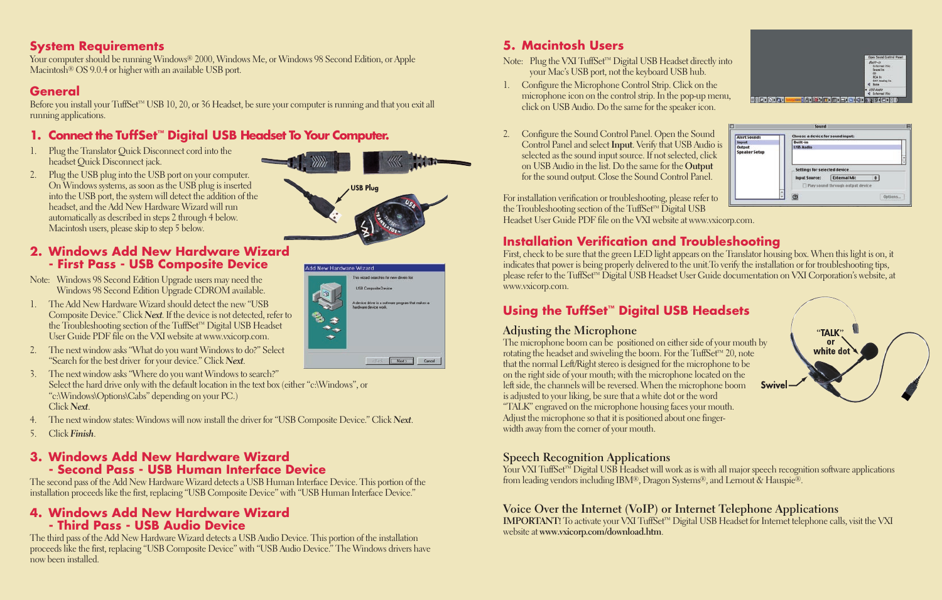#### **System Requirements**

Your computer should be running Windows® 2000, Windows Me, or Windows 98 Second Edition, or Apple Macintosh<sup>®</sup> OS 9.0.4 or higher with an available USB port.

### **General**

Before you install your TuffSet™ USB 10, 20, or 36 Headset, be sure your computer is running and that you exit all running applications.

### **1. Connect the TuffSet™ Digital USB Headset To Your Computer.**

- 1. Plug the Translator Quick Disconnect cord into the headset Quick Disconnect jack.
- 2. Plug the USB plug into the USB port on your computer. On Windows systems, as soon as the USB plug is inserted into the USB port, the system will detect the addition of the headset, and the Add New Hardware Wizard will run automatically as described in steps 2 through 4 below. Macintosh users, please skip to step 5 below.

#### **2. Windows Add New Hardware Wizard - First Pass - USB Composite Device**

- Note: Windows 98 Second Edition Upgrade users may need the Windows 98 Second Edition Upgrade CDROM available.
- 1. The Add New Hardware Wizard should detect the new "USB Composite Device." Click *Next*. If the device is not detected, refer to the Troubleshooting section of the TuffSet™ Digital USB Headset User Guide PDF file on the VXI website at www.vxicorp.com.
- 2. The next window asks "What do you want Windows to do?" Select "Search for the best driver for your device." Click *Next*.
- 3. The next window asks "Where do you want Windows to search?" Select the hard drive only with the default location in the text box (either "c:\Windows", or "c:\Windows\Options\Cabs" depending on your PC.) Click *Next*.
- 4. The next window states: Windows will now install the driver for "USB Composite Device." Click *Next*.
- 5. Click *Finish*.

#### **3. Windows Add New Hardware Wizard - Second Pass - USB Human Interface Device**

The second pass of the Add New Hardware Wizard detects a USB Human Interface Device. This portion of the installation proceeds like the first, replacing "USB Composite Device" with "USB Human Interface Device."

#### **4. Windows Add New Hardware Wizard - Third Pass - USB Audio Device**

The third pass of the Add New Hardware Wizard detects a USB Audio Device. This portion of the installation proceeds like the first, replacing "USB Composite Device" with "USB Audio Device." The Windows drivers have now been installed.

## **5. Macintosh Users**

- Note: Plug the VXI TuffSet™ Digital USB Headset directly into your Mac's USB port, not the keyboard USB hub.
- 1. Configure the Microphone Control Strip. Click on the microphone icon on the control strip. In the pop-up menu, click on USB Audio. Do the same for the speaker icon.
- 2. Configure the Sound Control Panel. Open the Sound Control Panel and select **Input**. Verify that USB Audio is selected as the sound input source. If not selected, click on USB Audio in the list. Do the same for the **Output** for the sound output. Close the Sound Control Panel.

For installation verification or troubleshooting, please refer to the Troubleshooting section of the TuffSet™ Digital USB Headset User Guide PDF file on the VXI website at www.vxicorp.com.

## **Installation Verification and Troubleshooting**

First, check to be sure that the green LED light appears on the Translator housing box. When this light is on, it indicates that power is being properly delivered to the unit.To verify the installation or for troubleshooting tips, please refer to the TuffSet™ Digital USB Headset User Guide documentation on VXI Corporation's website, at www.vxicorp.com.

Alert Sounds<br>
Input<br>
Output<br>
Speaker Setup

# **Using the TuffSet™ Digital USB Headsets**

#### **Adjusting the Microphone**

The microphone boom can be positioned on either side of your mouth by rotating the headset and swiveling the boom. For the TuffSet™ 20, note that the normal Left/Right stereo is designed for the microphone to be on the right side of your mouth; with the microphone located on the left side, the channels will be reversed. When the microphone boom is adjusted to your liking, be sure that a white dot or the word "TALK" engraved on the microphone housing faces your mouth. Adjust the microphone so that it is positioned about one fingerwidth away from the corner of your mouth.



**Options** 

#### **Speech Recognition Applications**

Your VXI TuffSet™ Digital USB Headset will work as is with all major speech recognition software applications from leading vendors including IBM®, Dragon Systems®, and Lernout & Hauspie®.

#### **Voice Over the Internet (VoIP) or Internet Telephone Applications**

**IMPORTANT!** To activate your VXI TuffSet™ Digital USB Headset for Internet telephone calls, visit the VXI website at **www.vxicorp.com/download.htm**.



This mixtual approximation for some drivers to **USB Composite Device** device diver is a software program that makes

Next Cancel

Add New Hardware Wizard



Sound

Choose a device for sound inpu Built-in<br>USB Audio

Settings for selected device Input Source: External Mic